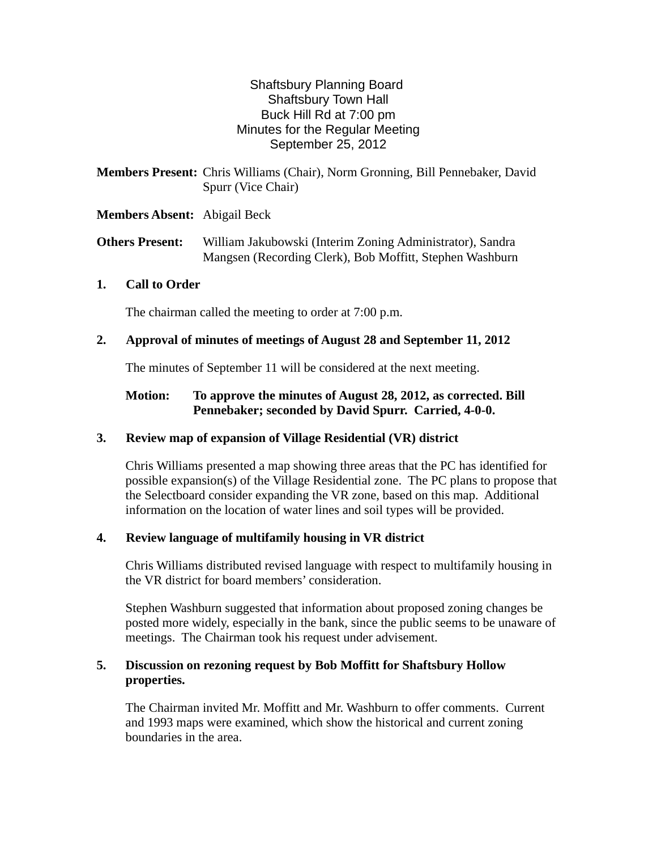# Shaftsbury Planning Board Shaftsbury Town Hall Buck Hill Rd at 7:00 pm Minutes for the Regular Meeting September 25, 2012

| <b>Members Present:</b> Chris Williams (Chair), Norm Gronning, Bill Pennebaker, David |                    |  |  |
|---------------------------------------------------------------------------------------|--------------------|--|--|
|                                                                                       | Spurr (Vice Chair) |  |  |

# **Members Absent:** Abigail Beck

**Others Present:** William Jakubowski (Interim Zoning Administrator), Sandra Mangsen (Recording Clerk), Bob Moffitt, Stephen Washburn

### **1. Call to Order**

The chairman called the meeting to order at 7:00 p.m.

# **2. Approval of minutes of meetings of August 28 and September 11, 2012**

The minutes of September 11 will be considered at the next meeting.

# **Motion: To approve the minutes of August 28, 2012, as corrected. Bill Pennebaker; seconded by David Spurr. Carried, 4-0-0.**

# **3. Review map of expansion of Village Residential (VR) district**

Chris Williams presented a map showing three areas that the PC has identified for possible expansion(s) of the Village Residential zone. The PC plans to propose that the Selectboard consider expanding the VR zone, based on this map. Additional information on the location of water lines and soil types will be provided.

### **4. Review language of multifamily housing in VR district**

Chris Williams distributed revised language with respect to multifamily housing in the VR district for board members' consideration.

Stephen Washburn suggested that information about proposed zoning changes be posted more widely, especially in the bank, since the public seems to be unaware of meetings. The Chairman took his request under advisement.

### **5. Discussion on rezoning request by Bob Moffitt for Shaftsbury Hollow properties.**

The Chairman invited Mr. Moffitt and Mr. Washburn to offer comments. Current and 1993 maps were examined, which show the historical and current zoning boundaries in the area.